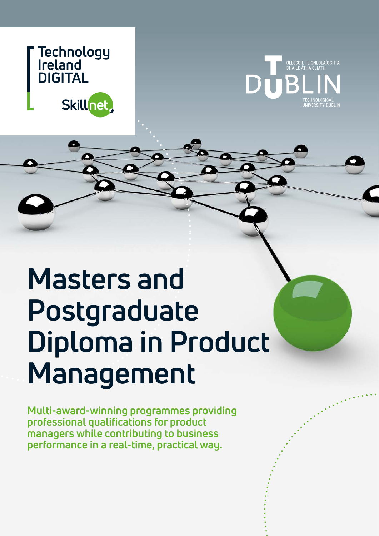



## r opus. **Masters and Postgraduate Diploma in Product Management**

**Multi-award-winning programmes providing professional qualifications for product managers while contributing to business performance in a real-time, practical way.**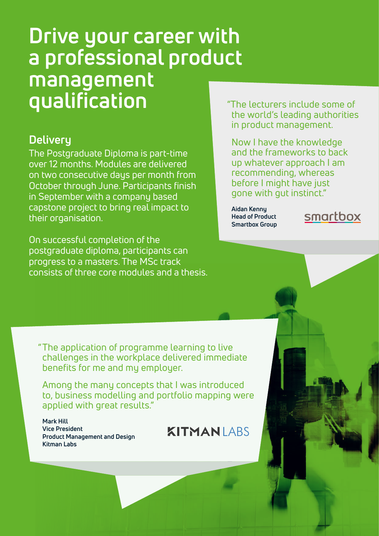## **Drive your career with a professional product management qualification**

## **Delivery**

The Postgraduate Diploma is part-time over 12 months. Modules are delivered on two consecutive days per month from October through June. Participants finish in September with a company based capstone project to bring real impact to their organisation.

On successful completion of the postgraduate diploma, participants can progress to a masters. The MSc track consists of three core modules and a thesis. "The lecturers include some of the world's leading authorities in product management.

Now I have the knowledge and the frameworks to back up whatever approach I am recommending, whereas before I might have just gone with gut instinct."

**Aidan Kenny Head of Product Smartbox Group**



"The application of programme learning to live challenges in the workplace delivered immediate benefits for me and my employer.

Among the many concepts that I was introduced to, business modelling and portfolio mapping were applied with great results."

**Mark Hill Vice President Product Management and Design Kitman Labs**

**KITMANIARS**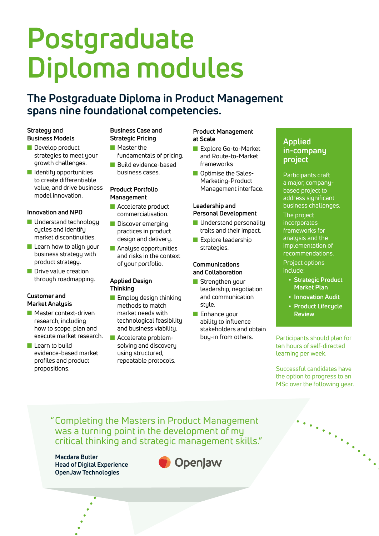# **Postgraduate Diploma modules**

## **The Postgraduate Diploma in Product Management spans nine foundational competencies.**

## **Strategy and Business Models**

- $\blacksquare$  Develop product strategies to meet your growth challenges.
- $\blacksquare$  Identify opportunities to create differentiable value, and drive business model innovation.

## **Innovation and NPD**

- $\blacksquare$  Understand technology cycles and identify market discontinuities.
- $\blacksquare$  Learn how to align your business strategy with product strategy.
- **n** Drive value creation through roadmapping.

## **Customer and Market Analysis**

- $\blacksquare$  Master context-driven research, including how to scope, plan and execute market research.
- $\blacksquare$  Learn to build evidence-based market profiles and product propositions.

## **Business Case and Strategic Pricing**

- $\blacksquare$  Master the fundamentals of pricing.
- **n** Build evidence-based business cases.

#### **Product Portfolio Management**

- **n** Accelerate product commercialisation.
- **n** Discover emerging practices in product design and delivery.
- **n** Analyse opportunities and risks in the context of your portfolio.

#### **Applied Design Thinking**

- $\blacksquare$  Employ design thinking methods to match market needs with technological feasibility and business viability.
- **n** Accelerate problemsolving and discovery using structured, repeatable protocols.

### **Product Management at Scale**

- **N** Explore Go-to-Market and Route-to-Market frameworks
- **n** Optimise the Sales-Marketing-Product Management interface.

#### **Leadership and Personal Development**

- $\blacksquare$  Understand personality traits and their impact.
- **n** Explore leadership strategies.

#### **Communications and Collaboration**

- **n** Strengthen your leadership, negotiation and communication stule.
- **n** Enhance your ability to influence stakeholders and obtain buy-in from others.

## **Applied in-company project**

Participants craft a major, companybased project to address significant business challenges. The project incorporates frameworks for analusis and the implementation of recommendations.

Project options include:

- **• Strategic Product Market Plan**
- **• Innovation Audit**
- **• Product Lifecycle Review**

Participants should plan for ten hours of self-directed learning per week.

Successful candidates have the option to progress to an MSc over the following year.

"Completing the Masters in Product Management was a turning point in the development of my critical thinking and strategic management skills."

**Macdara Butler Head of Digital Experience OpenJaw Technologies**

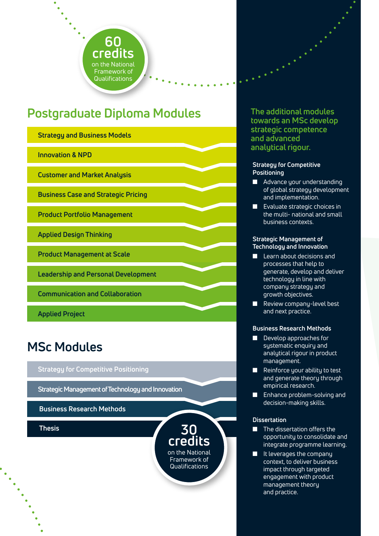

## **Postgraduate Diploma Modules**

**Strategy and Business Models**

**Innovation & NPD Strategy and Business Models**

**Customer and Market Analysis** 

**Business Case and Strategic Pricing Customer and Market Analysis**

**Product Portfolio Management Business Case and Strategic Pricing**

**Applied Design Thinking Product Portfolio Management**

**Product Management at Scale Applied Design Thinking**

**Leadership and Personal Development Product Management at Scale**

**Communication and Collaboration Leadership and Personal Development**

**Applied Project Communication and Collaboration** 

## **Strategy for Competitive Positioning MSc Modules**

## $\operatorname{\sf Strategy}$  for Competitive Positioning

**Business Research Methods Strategic Management of Technology and Innovation**

**Thesis Business Research Methods**

**Thesis**

**The additional modules towards an MSc develop strategic competence and advanced analytical rigour.**

#### **Strategy for Competitive Positioning**

- $\blacksquare$  Advance your understanding of global strategy development and implementation.
- $\blacksquare$  Evaluate strategic choices in the multi- national and small business contexts.

## **Strategic Management of Technology and Innovation**

- $\blacksquare$  Learn about decisions and processes that help to generate, develop and deliver technology in line with company strategy and growth objectives.
- **n** Review company-level best and next practice.

### **Business Research Methods**

- Develop approaches for systematic enquiry and analytical rigour in product management.
- Reinforce your ability to test and generate theory through empirical research.
- **n** Enhance problem-solving and decision-making skills.

### **Dissertation**

**30 credits** on the National Framework of Qualifications

- $\blacksquare$  The dissertation offers the opportunity to consolidate and integrate programme learning.
- $\blacksquare$  It leverages the company context, to deliver business impact through targeted engagement with product management theory and practice.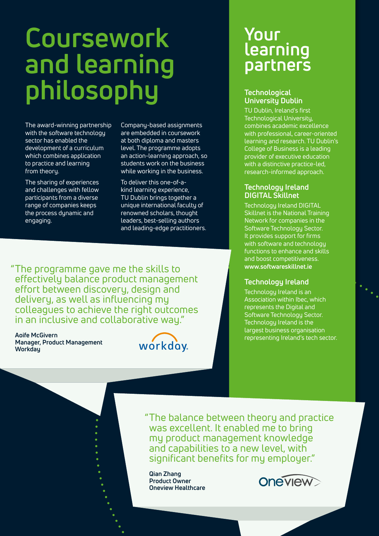# **Coursework and learning philosophy**

The award-winning partnership with the software technology sector has enabled the development of a curriculum which combines application to practice and learning from theory.

The sharing of experiences and challenges with fellow participants from a diverse range of companies keeps the process dynamic and engaging.

Company-based assignments are embedded in coursework at both diploma and masters level. The programme adopts an action-learning approach, so students work on the business while working in the business.

To deliver this one-of-akind learning experience, TU Dublin brings together a unique international faculty of renowned scholars, thought leaders, best-selling authors and leading-edge practitioners.

"The programme gave me the skills to effectively balance product management effort between discovery, design and delivery, as well as influencing my colleagues to achieve the right outcomes in an inclusive and collaborative way."

**Aoife McGivern Manager, Product Management Workday**



## **Your learning partners**

## **Technological University Dublin**

TU Dublin, Ireland's first Technological University, combines academic excellence with professional, career-oriented learning and research. TU Dublin's College of Business is a leading provider of executive education with a distinctive practice-led, research-informed approach.

## **Technology Ireland DIGITAL Skillnet**

Technology Ireland DIGITAL Skillnet is the National Training Network for companies in the Software Technology Sector. It provides support for firms with software and technology functions to enhance and skills and boost competitiveness. **www.softwareskillnet.ie**

## **Technology Ireland**

Technology Ireland is an Association within Ibec, which represents the Digital and Software Technology Sector. Technology Ireland is the largest business organisation representing Ireland's tech sector.

"The balance between theory and practice was excellent. It enabled me to bring my product management knowledge and capabilities to a new level, with significant benefits for my employer."

**Qian Zhang Product Owner Oneview Healthcare**